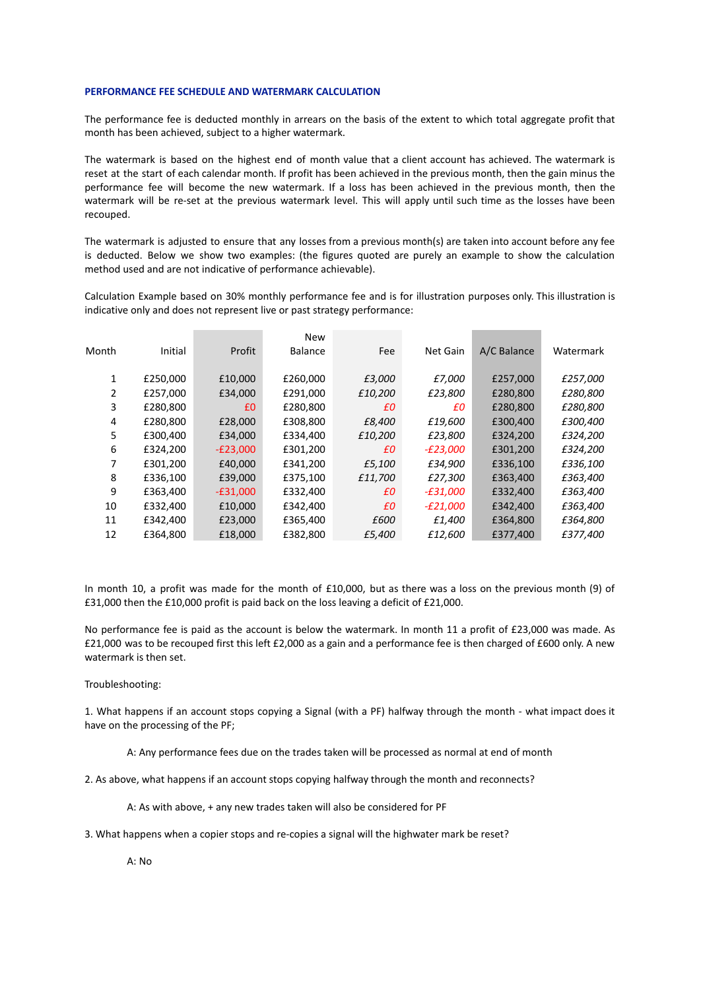## **PERFORMANCE FEE SCHEDULE AND WATERMARK CALCULATION**

The performance fee is deducted monthly in arrears on the basis of the extent to which total aggregate profit that month has been achieved, subject to a higher watermark.

The watermark is based on the highest end of month value that a client account has achieved. The watermark is reset at the start of each calendar month. If profit has been achieved in the previous month, then the gain minus the performance fee will become the new watermark. If a loss has been achieved in the previous month, then the watermark will be re-set at the previous watermark level. This will apply until such time as the losses have been recouped.

The watermark is adjusted to ensure that any losses from a previous month(s) are taken into account before any fee is deducted. Below we show two examples: (the figures quoted are purely an example to show the calculation method used and are not indicative of performance achievable).

Calculation Example based on 30% monthly performance fee and is for illustration purposes only. This illustration is indicative only and does not represent live or past strategy performance:

|       |          |            | <b>New</b>     |         |                 |             |           |
|-------|----------|------------|----------------|---------|-----------------|-------------|-----------|
| Month | Initial  | Profit     | <b>Balance</b> | Fee     | Net Gain        | A/C Balance | Watermark |
|       |          |            |                |         |                 |             |           |
| 1     | £250,000 | £10,000    | £260,000       | £3,000  | £7,000          | £257,000    | £257,000  |
| 2     | £257,000 | £34,000    | £291,000       | £10,200 | £23,800         | £280,800    | £280,800  |
| 3     | £280,800 | £0         | £280,800       | £Ο      | £Ο              | £280,800    | £280,800  |
| 4     | £280,800 | £28,000    | £308,800       | £8,400  | £19,600         | £300,400    | £300,400  |
| 5     | £300.400 | £34,000    | £334,400       | £10,200 | £23,800         | £324,200    | £324,200  |
| 6     | £324,200 | $-E23,000$ | £301,200       | £Ο      | $-E23,000$      | £301,200    | £324,200  |
| 7     | £301,200 | £40,000    | £341,200       | £5,100  | £34,900         | £336,100    | £336,100  |
| 8     | £336,100 | £39,000    | £375,100       | £11,700 | £27,300         | £363,400    | £363,400  |
| 9     | £363,400 | $-E31,000$ | £332,400       | £0      | <i>-£31,000</i> | £332,400    | £363,400  |
| 10    | £332,400 | £10,000    | £342,400       | £Ο      | -£21,000        | £342,400    | £363,400  |
| 11    | £342,400 | £23,000    | £365,400       | £600    | £1,400          | £364,800    | £364,800  |
| 12    | £364,800 | £18,000    | £382,800       | £5,400  | £12,600         | £377,400    | £377,400  |

In month 10, a profit was made for the month of £10,000, but as there was a loss on the previous month (9) of £31,000 then the £10,000 profit is paid back on the loss leaving a deficit of £21,000.

No performance fee is paid as the account is below the watermark. In month 11 a profit of £23,000 was made. As £21,000 was to be recouped first this left £2,000 as a gain and a performance fee is then charged of £600 only. A new watermark is then set.

## Troubleshooting:

1. What happens if an account stops copying a Signal (with a PF) halfway through the month - what impact does it have on the processing of the PF;

A: Any performance fees due on the trades taken will be processed as normal at end of month

2. As above, what happens if an account stops copying halfway through the month and reconnects?

A: As with above, + any new trades taken will also be considered for PF

3. What happens when a copier stops and re-copies a signal will the highwater mark be reset?

A: No